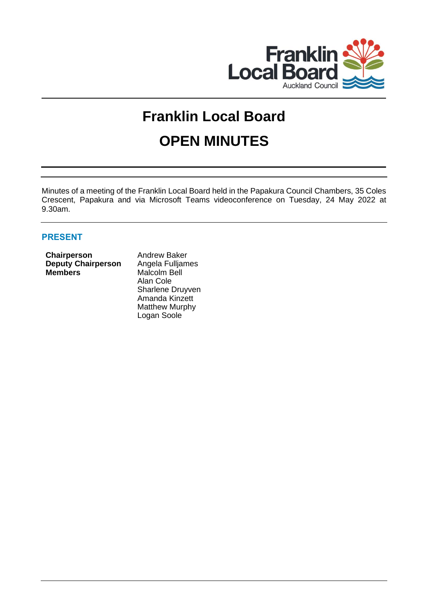

# **Franklin Local Board OPEN MINUTES**

Minutes of a meeting of the Franklin Local Board held in the Papakura Council Chambers, 35 Coles Crescent, Papakura and via Microsoft Teams videoconference on Tuesday, 24 May 2022 at 9.30am.

# **PRESENT**

|                | Chairperson               |
|----------------|---------------------------|
|                | <b>Deputy Chairperson</b> |
| <b>Members</b> |                           |

**Andrew Baker Angela Fulljames** Malcolm Bell Alan Cole Sharlene Druyven Amanda Kinzett Matthew Murphy Logan Soole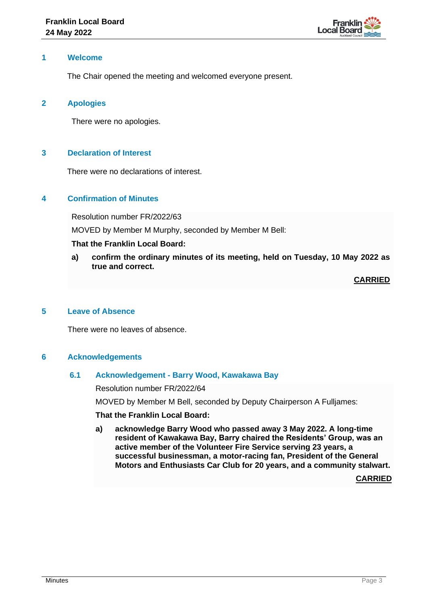

### **1 Welcome**

The Chair opened the meeting and welcomed everyone present.

# **2 Apologies**

There were no apologies.

# **3 Declaration of Interest**

There were no declarations of interest.

### **4 Confirmation of Minutes**

Resolution number FR/2022/63

MOVED by Member M Murphy, seconded by Member M Bell:

### **That the Franklin Local Board:**

**a) confirm the ordinary minutes of its meeting, held on Tuesday, 10 May 2022 as true and correct.**

**CARRIED**

# **5 Leave of Absence**

There were no leaves of absence.

#### **6 Acknowledgements**

#### **6.1 Acknowledgement - Barry Wood, Kawakawa Bay**

Resolution number FR/2022/64

MOVED by Member M Bell, seconded by Deputy Chairperson A Fulljames:

**That the Franklin Local Board:**

**a) acknowledge Barry Wood who passed away 3 May 2022. A long-time resident of Kawakawa Bay, Barry chaired the Residents' Group, was an active member of the Volunteer Fire Service serving 23 years, a successful businessman, a motor-racing fan, President of the General Motors and Enthusiasts Car Club for 20 years, and a community stalwart.**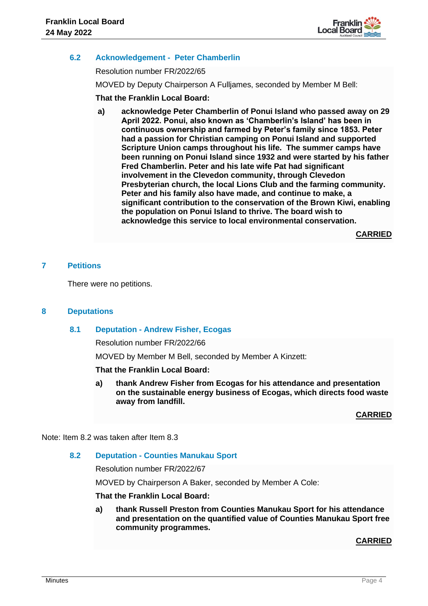

# **6.2 Acknowledgement - Peter Chamberlin**

Resolution number FR/2022/65

MOVED by Deputy Chairperson A Fulljames, seconded by Member M Bell:

### **That the Franklin Local Board:**

**a) acknowledge Peter Chamberlin of Ponui Island who passed away on 29 April 2022. Ponui, also known as 'Chamberlin's Island' has been in continuous ownership and farmed by Peter's family since 1853. Peter had a passion for Christian camping on Ponui Island and supported Scripture Union camps throughout his life. The summer camps have been running on Ponui Island since 1932 and were started by his father Fred Chamberlin. Peter and his late wife Pat had significant involvement in the Clevedon community, through Clevedon Presbyterian church, the local Lions Club and the farming community. Peter and his family also have made, and continue to make, a significant contribution to the conservation of the Brown Kiwi, enabling the population on Ponui Island to thrive. The board wish to acknowledge this service to local environmental conservation.** 

**CARRIED**

# **7 Petitions**

There were no petitions.

#### **8 Deputations**

#### **8.1 Deputation - Andrew Fisher, Ecogas**

Resolution number FR/2022/66

MOVED by Member M Bell, seconded by Member A Kinzett:

#### **That the Franklin Local Board:**

**a) thank Andrew Fisher from Ecogas for his attendance and presentation on the sustainable energy business of Ecogas, which directs food waste away from landfill.**

**CARRIED**

Note: Item 8.2 was taken after Item 8.3

# **8.2 Deputation - Counties Manukau Sport**

Resolution number FR/2022/67

MOVED by Chairperson A Baker, seconded by Member A Cole:

#### **That the Franklin Local Board:**

**a) thank Russell Preston from Counties Manukau Sport for his attendance and presentation on the quantified value of Counties Manukau Sport free community programmes.**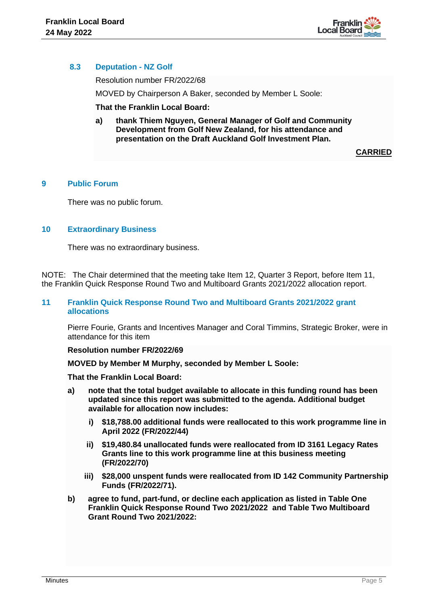

# **8.3 Deputation - NZ Golf**

Resolution number FR/2022/68

MOVED by Chairperson A Baker, seconded by Member L Soole:

**That the Franklin Local Board:**

**a) thank Thiem Nguyen, General Manager of Golf and Community Development from Golf New Zealand, for his attendance and presentation on the Draft Auckland Golf Investment Plan.**

**CARRIED**

# **9 Public Forum**

There was no public forum.

### **10 Extraordinary Business**

There was no extraordinary business.

NOTE: The Chair determined that the meeting take Item 12, Quarter 3 Report, before Item 11, the Franklin Quick Response Round Two and Multiboard Grants 2021/2022 allocation report.

#### **11 Franklin Quick Response Round Two and Multiboard Grants 2021/2022 grant allocations**

Pierre Fourie, Grants and Incentives Manager and Coral Timmins, Strategic Broker, were in attendance for this item

#### **Resolution number FR/2022/69**

**MOVED by Member M Murphy, seconded by Member L Soole:** 

**That the Franklin Local Board:**

- **a) note that the total budget available to allocate in this funding round has been updated since this report was submitted to the agenda. Additional budget available for allocation now includes:** 
	- **i) \$18,788.00 additional funds were reallocated to this work programme line in April 2022 (FR/2022/44)**
	- **ii) \$19,480.84 unallocated funds were reallocated from ID 3161 Legacy Rates Grants line to this work programme line at this business meeting (FR/2022/70)**
	- **iii) \$28,000 unspent funds were reallocated from ID 142 Community Partnership Funds (FR/2022/71).**
- **b) agree to fund, part-fund, or decline each application as listed in Table One Franklin Quick Response Round Two 2021/2022 and Table Two Multiboard Grant Round Two 2021/2022:**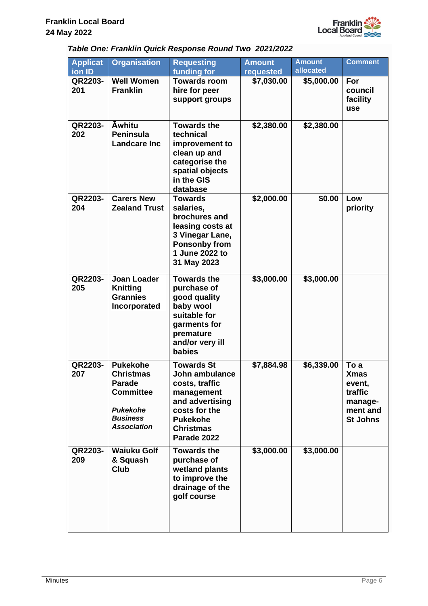

# *Table One: Franklin Quick Response Round Two 2021/2022*

| <b>Applicat</b><br>ion ID | <b>Organisation</b>                                                                                                                  | <b>Requesting</b><br>funding for                                                                                                                              | <b>Amount</b><br>requested | <b>Amount</b><br>allocated | <b>Comment</b>                                                                     |
|---------------------------|--------------------------------------------------------------------------------------------------------------------------------------|---------------------------------------------------------------------------------------------------------------------------------------------------------------|----------------------------|----------------------------|------------------------------------------------------------------------------------|
| QR2203-<br>201            | <b>Well Women</b><br><b>Franklin</b>                                                                                                 | <b>Towards room</b><br>hire for peer<br>support groups                                                                                                        | \$7,030.00                 | \$5,000.00                 | For<br>council<br>facility<br>use                                                  |
| QR2203-<br>202            | <b>Awhitu</b><br><b>Peninsula</b><br><b>Landcare Inc</b>                                                                             | <b>Towards the</b><br>technical<br>improvement to<br>clean up and<br>categorise the<br>spatial objects<br>in the GIS<br>database                              | \$2,380.00                 | \$2,380.00                 |                                                                                    |
| QR2203-<br>204            | <b>Carers New</b><br><b>Zealand Trust</b>                                                                                            | <b>Towards</b><br>salaries,<br>brochures and<br>leasing costs at<br>3 Vinegar Lane,<br><b>Ponsonby from</b><br>1 June 2022 to<br>31 May 2023                  | \$2,000.00                 | \$0.00                     | Low<br>priority                                                                    |
| QR2203-<br>205            | <b>Joan Loader</b><br><b>Knitting</b><br><b>Grannies</b><br>Incorporated                                                             | <b>Towards the</b><br>purchase of<br>good quality<br>baby wool<br>suitable for<br>garments for<br>premature<br>and/or very ill<br><b>babies</b>               | \$3,000.00                 | \$3,000.00                 |                                                                                    |
| QR2203-<br>207            | <b>Pukekohe</b><br><b>Christmas</b><br><b>Parade</b><br><b>Committee</b><br><b>Pukekohe</b><br><b>Business</b><br><b>Association</b> | <b>Towards St</b><br>John ambulance<br>costs, traffic<br>management<br>and advertising<br>costs for the<br><b>Pukekohe</b><br><b>Christmas</b><br>Parade 2022 | \$7,884.98                 | \$6,339.00                 | To a<br><b>Xmas</b><br>event,<br>traffic<br>manage-<br>ment and<br><b>St Johns</b> |
| QR2203-<br>209            | <b>Waiuku Golf</b><br>& Squash<br><b>Club</b>                                                                                        | <b>Towards the</b><br>purchase of<br>wetland plants<br>to improve the<br>drainage of the<br>golf course                                                       | \$3,000.00                 | \$3,000.00                 |                                                                                    |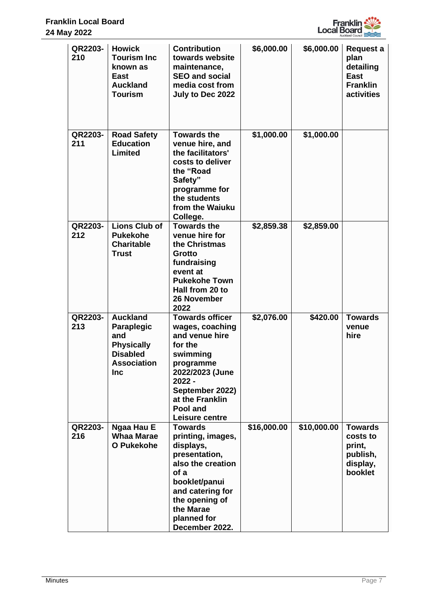

| QR2203-<br>210 | <b>Howick</b><br><b>Tourism Inc</b><br>known as<br>East<br><b>Auckland</b><br><b>Tourism</b>              | <b>Contribution</b><br>towards website<br>maintenance,<br><b>SEO and social</b><br>media cost from<br>July to Dec 2022                                                                              | \$6,000.00  | \$6,000.00  | Request a<br>plan<br>detailing<br><b>East</b><br><b>Franklin</b><br>activities |
|----------------|-----------------------------------------------------------------------------------------------------------|-----------------------------------------------------------------------------------------------------------------------------------------------------------------------------------------------------|-------------|-------------|--------------------------------------------------------------------------------|
| QR2203-<br>211 | <b>Road Safety</b><br><b>Education</b><br>Limited                                                         | <b>Towards the</b><br>venue hire, and<br>the facilitators'<br>costs to deliver<br>the "Road<br>Safety"<br>programme for<br>the students<br>from the Waiuku<br>College.                              | \$1,000.00  | \$1,000.00  |                                                                                |
| QR2203-<br>212 | <b>Lions Club of</b><br><b>Pukekohe</b><br><b>Charitable</b><br><b>Trust</b>                              | <b>Towards the</b><br>venue hire for<br>the Christmas<br>Grotto<br>fundraising<br>event at<br><b>Pukekohe Town</b><br>Hall from 20 to<br>26 November<br>2022                                        | \$2,859.38  | \$2,859.00  |                                                                                |
| QR2203-<br>213 | <b>Auckland</b><br>Paraplegic<br>and<br><b>Physically</b><br><b>Disabled</b><br>Association<br><b>Inc</b> | <b>Towards officer</b><br>wages, coaching<br>and venue hire<br>for the<br>swimming<br>programme<br>2022/2023 (June<br>2022 -<br>September 2022)<br>at the Franklin<br>Pool and<br>Leisure centre    | \$2,076.00  | \$420.00    | <b>Towards</b><br>venue<br>hire                                                |
| QR2203-<br>216 | Ngaa Hau E<br><b>Whaa Marae</b><br><b>O</b> Pukekohe                                                      | <b>Towards</b><br>printing, images,<br>displays,<br>presentation,<br>also the creation<br>of a<br>booklet/panui<br>and catering for<br>the opening of<br>the Marae<br>planned for<br>December 2022. | \$16,000.00 | \$10,000.00 | <b>Towards</b><br>costs to<br>print,<br>publish,<br>display,<br>booklet        |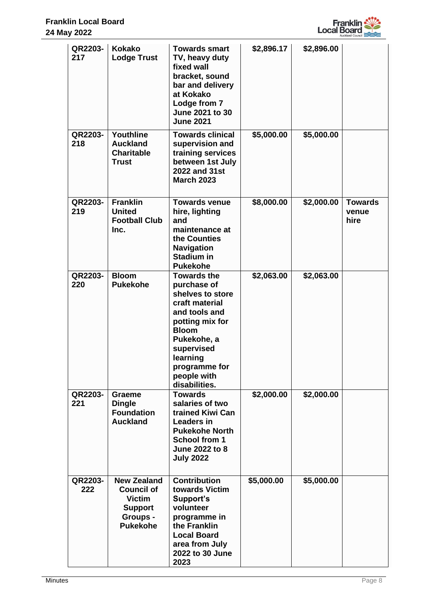

| QR2203-<br>217 | <b>Kokako</b><br><b>Lodge Trust</b>                                                                       | <b>Towards smart</b><br>TV, heavy duty<br>fixed wall<br>bracket, sound<br>bar and delivery<br>at Kokako<br>Lodge from 7<br>June 2021 to 30<br><b>June 2021</b>                                                        | \$2,896.17 | \$2,896.00 |                                 |
|----------------|-----------------------------------------------------------------------------------------------------------|-----------------------------------------------------------------------------------------------------------------------------------------------------------------------------------------------------------------------|------------|------------|---------------------------------|
| QR2203-<br>218 | Youthline<br><b>Auckland</b><br><b>Charitable</b><br><b>Trust</b>                                         | <b>Towards clinical</b><br>supervision and<br>training services<br>between 1st July<br>2022 and 31st<br><b>March 2023</b>                                                                                             | \$5,000.00 | \$5,000.00 |                                 |
| QR2203-<br>219 | <b>Franklin</b><br><b>United</b><br><b>Football Club</b><br>Inc.                                          | <b>Towards venue</b><br>hire, lighting<br>and<br>maintenance at<br>the Counties<br><b>Navigation</b><br><b>Stadium in</b><br><b>Pukekohe</b>                                                                          | \$8,000.00 | \$2,000.00 | <b>Towards</b><br>venue<br>hire |
| QR2203-<br>220 | <b>Bloom</b><br><b>Pukekohe</b>                                                                           | <b>Towards the</b><br>purchase of<br>shelves to store<br>craft material<br>and tools and<br>potting mix for<br><b>Bloom</b><br>Pukekohe, a<br>supervised<br>learning<br>programme for<br>people with<br>disabilities. | \$2,063.00 | \$2,063.00 |                                 |
| QR2203-<br>221 | <b>Graeme</b><br><b>Dingle</b><br><b>Foundation</b><br><b>Auckland</b>                                    | <b>Towards</b><br>salaries of two<br>trained Kiwi Can<br><b>Leaders in</b><br><b>Pukekohe North</b><br>School from 1<br>June 2022 to 8<br><b>July 2022</b>                                                            | \$2,000.00 | \$2,000.00 |                                 |
| QR2203-<br>222 | <b>New Zealand</b><br><b>Council of</b><br><b>Victim</b><br><b>Support</b><br>Groups -<br><b>Pukekohe</b> | <b>Contribution</b><br>towards Victim<br>Support's<br>volunteer<br>programme in<br>the Franklin<br><b>Local Board</b><br>area from July<br>2022 to 30 June<br>2023                                                    | \$5,000.00 | \$5,000.00 |                                 |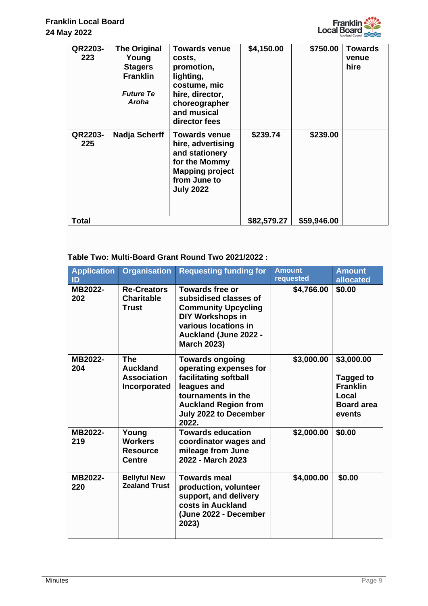

|       | QR2203-<br>223 | <b>The Original</b><br>Young<br><b>Stagers</b><br><b>Franklin</b><br><b>Future Te</b><br>Aroha | <b>Towards venue</b><br>costs,<br>promotion,<br>lighting,<br>costume, mic<br>hire, director,<br>choreographer<br>and musical<br>director fees | \$4,150.00  | \$750.00    | <b>Towards</b><br>venue<br>hire |
|-------|----------------|------------------------------------------------------------------------------------------------|-----------------------------------------------------------------------------------------------------------------------------------------------|-------------|-------------|---------------------------------|
|       | QR2203-<br>225 | <b>Nadja Scherff</b>                                                                           | <b>Towards venue</b><br>hire, advertising<br>and stationery<br>for the Mommy<br><b>Mapping project</b><br>from June to<br><b>July 2022</b>    | \$239.74    | \$239.00    |                                 |
| Total |                |                                                                                                |                                                                                                                                               | \$82,579.27 | \$59,946.00 |                                 |

# **Table Two: Multi-Board Grant Round Two 2021/2022 :**

| <b>Application</b><br>ID | <b>Organisation</b>                                                 | <b>Requesting funding for</b>                                                                                                                                                          | <b>Amount</b><br>requested | <b>Amount</b><br>allocated                                                                |
|--------------------------|---------------------------------------------------------------------|----------------------------------------------------------------------------------------------------------------------------------------------------------------------------------------|----------------------------|-------------------------------------------------------------------------------------------|
| MB2022-<br>202           | <b>Re-Creators</b><br><b>Charitable</b><br>Trust                    | <b>Towards free or</b><br>subsidised classes of<br><b>Community Upcycling</b><br>DIY Workshops in<br>various locations in<br><b>Auckland (June 2022 -</b><br><b>March 2023)</b>        | \$4,766.00                 | \$0.00                                                                                    |
| MB2022-<br>204           | <b>The</b><br><b>Auckland</b><br><b>Association</b><br>Incorporated | <b>Towards ongoing</b><br>operating expenses for<br>facilitating softball<br>leagues and<br>tournaments in the<br><b>Auckland Region from</b><br><b>July 2022 to December</b><br>2022. | \$3,000.00                 | \$3,000.00<br><b>Tagged to</b><br><b>Franklin</b><br>Local<br><b>Board area</b><br>events |
| MB2022-<br>219           | Young<br><b>Workers</b><br><b>Resource</b><br><b>Centre</b>         | <b>Towards education</b><br>coordinator wages and<br>mileage from June<br>2022 - March 2023                                                                                            | \$2,000.00                 | \$0.00                                                                                    |
| MB2022-<br>220           | <b>Bellyful New</b><br><b>Zealand Trust</b>                         | <b>Towards meal</b><br>production, volunteer<br>support, and delivery<br>costs in Auckland<br>(June 2022 - December<br>2023)                                                           | \$4,000.00                 | \$0.00                                                                                    |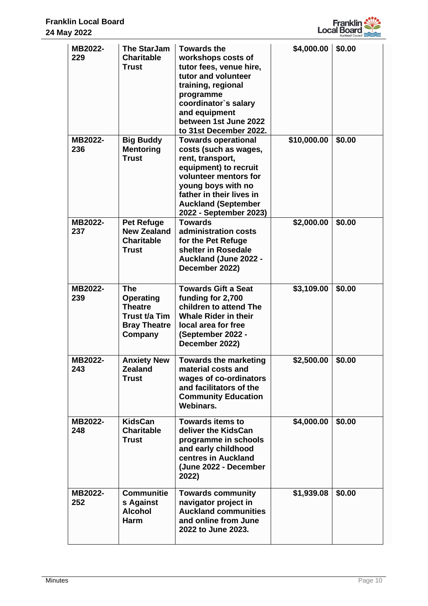

| MB2022-<br>229 | <b>The StarJam</b><br><b>Charitable</b><br>Trust                                                    | <b>Towards the</b><br>workshops costs of<br>tutor fees, venue hire,<br>tutor and volunteer<br>training, regional<br>programme<br>coordinator's salary<br>and equipment<br>between 1st June 2022<br>to 31st December 2022.           | \$4,000.00  | \$0.00 |
|----------------|-----------------------------------------------------------------------------------------------------|-------------------------------------------------------------------------------------------------------------------------------------------------------------------------------------------------------------------------------------|-------------|--------|
| MB2022-<br>236 | <b>Big Buddy</b><br><b>Mentoring</b><br><b>Trust</b>                                                | <b>Towards operational</b><br>costs (such as wages,<br>rent, transport,<br>equipment) to recruit<br>volunteer mentors for<br>young boys with no<br>father in their lives in<br><b>Auckland (September</b><br>2022 - September 2023) | \$10,000.00 | \$0.00 |
| MB2022-<br>237 | <b>Pet Refuge</b><br><b>New Zealand</b><br><b>Charitable</b><br>Trust                               | <b>Towards</b><br>administration costs<br>for the Pet Refuge<br>shelter in Rosedale<br><b>Auckland (June 2022 -</b><br>December 2022)                                                                                               | \$2,000.00  | \$0.00 |
| MB2022-<br>239 | <b>The</b><br><b>Operating</b><br><b>Theatre</b><br>Trust t/a Tim<br><b>Bray Theatre</b><br>Company | <b>Towards Gift a Seat</b><br>funding for 2,700<br>children to attend The<br><b>Whale Rider in their</b><br>local area for free<br>(September 2022 -<br>December 2022)                                                              | \$3,109.00  | \$0.00 |
| MB2022-<br>243 | <b>Anxiety New</b><br><b>Zealand</b><br>Trust                                                       | <b>Towards the marketing</b><br>material costs and<br>wages of co-ordinators<br>and facilitators of the<br><b>Community Education</b><br>Webinars.                                                                                  | \$2,500.00  | \$0.00 |
| MB2022-<br>248 | <b>KidsCan</b><br><b>Charitable</b><br><b>Trust</b>                                                 | <b>Towards items to</b><br>deliver the KidsCan<br>programme in schools<br>and early childhood<br>centres in Auckland<br>(June 2022 - December<br>2022)                                                                              | \$4,000.00  | \$0.00 |
| MB2022-<br>252 | <b>Communitie</b><br>s Against<br><b>Alcohol</b><br><b>Harm</b>                                     | <b>Towards community</b><br>navigator project in<br><b>Auckland communities</b><br>and online from June<br>2022 to June 2023.                                                                                                       | \$1,939.08  | \$0.00 |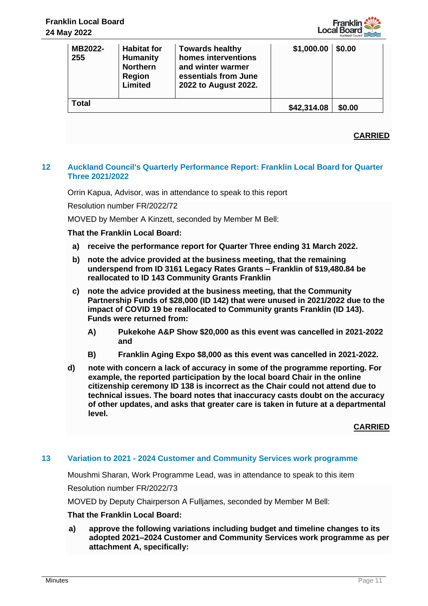

| MB2022-<br>255 | <b>Habitat for</b><br><b>Humanity</b><br><b>Northern</b><br>Region<br>Limited | <b>Towards healthy</b><br>homes interventions<br>and winter warmer<br>essentials from June<br>2022 to August 2022. | \$1,000.00  | \$0.00 |
|----------------|-------------------------------------------------------------------------------|--------------------------------------------------------------------------------------------------------------------|-------------|--------|
| <b>Total</b>   |                                                                               |                                                                                                                    | \$42,314.08 | \$0.00 |

# **CARRIED**

# **12 Auckland Council's Quarterly Performance Report: Franklin Local Board for Quarter Three 2021/2022**

Orrin Kapua, Advisor, was in attendance to speak to this report

Resolution number FR/2022/72

MOVED by Member A Kinzett, seconded by Member M Bell:

# **That the Franklin Local Board:**

- **a) receive the performance report for Quarter Three ending 31 March 2022.**
- **b) note the advice provided at the business meeting, that the remaining underspend from ID 3161 Legacy Rates Grants – Franklin of \$19,480.84 be reallocated to ID 143 Community Grants Franklin**
- **c) note the advice provided at the business meeting, that the Community Partnership Funds of \$28,000 (ID 142) that were unused in 2021/2022 due to the impact of COVID 19 be reallocated to Community grants Franklin (ID 143). Funds were returned from:**
	- **A) Pukekohe A&P Show \$20,000 as this event was cancelled in 2021-2022 and**
	- **B) Franklin Aging Expo \$8,000 as this event was cancelled in 2021-2022.**
- **d) note with concern a lack of accuracy in some of the programme reporting. For example, the reported participation by the local board Chair in the online citizenship ceremony ID 138 is incorrect as the Chair could not attend due to technical issues. The board notes that inaccuracy casts doubt on the accuracy of other updates, and asks that greater care is taken in future at a departmental level.**

**CARRIED**

# **13 Variation to 2021 - 2024 Customer and Community Services work programme**

Moushmi Sharan, Work Programme Lead, was in attendance to speak to this item

Resolution number FR/2022/73

MOVED by Deputy Chairperson A Fulljames, seconded by Member M Bell:

#### **That the Franklin Local Board:**

**a) approve the following variations including budget and timeline changes to its adopted 2021–2024 Customer and Community Services work programme as per attachment A, specifically:**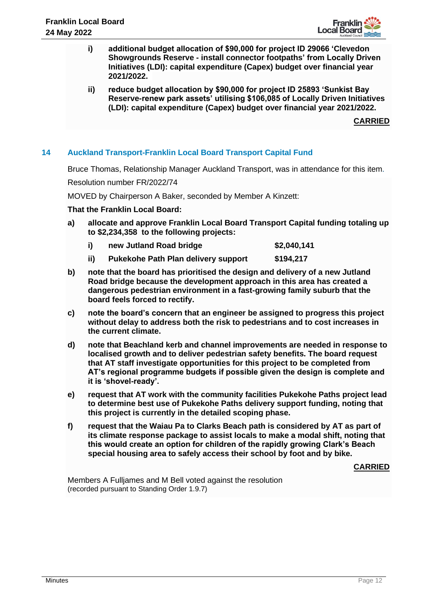

- **i) additional budget allocation of \$90,000 for project ID 29066 'Clevedon Showgrounds Reserve - install connector footpaths' from Locally Driven Initiatives (LDI): capital expenditure (Capex) budget over financial year 2021/2022.**
- **ii) reduce budget allocation by \$90,000 for project ID 25893 'Sunkist Bay Reserve-renew park assets' utilising \$106,085 of Locally Driven Initiatives (LDI): capital expenditure (Capex) budget over financial year 2021/2022.**

**CARRIED**

# **14 Auckland Transport-Franklin Local Board Transport Capital Fund**

Bruce Thomas, Relationship Manager Auckland Transport, was in attendance for this item.

Resolution number FR/2022/74

MOVED by Chairperson A Baker, seconded by Member A Kinzett:

**That the Franklin Local Board:**

- **a) allocate and approve Franklin Local Board Transport Capital funding totaling up to \$2,234,358 to the following projects:**
	- i) **new Jutland Road bridge \$2,040,141**
	- **ii) Pukekohe Path Plan delivery support \$194,217**
- **b) note that the board has prioritised the design and delivery of a new Jutland Road bridge because the development approach in this area has created a dangerous pedestrian environment in a fast-growing family suburb that the board feels forced to rectify.**
- **c) note the board's concern that an engineer be assigned to progress this project without delay to address both the risk to pedestrians and to cost increases in the current climate.**
- **d) note that Beachland kerb and channel improvements are needed in response to localised growth and to deliver pedestrian safety benefits. The board request that AT staff investigate opportunities for this project to be completed from AT's regional programme budgets if possible given the design is complete and it is 'shovel-ready'.**
- **e) request that AT work with the community facilities Pukekohe Paths project lead to determine best use of Pukekohe Paths delivery support funding, noting that this project is currently in the detailed scoping phase.**
- **f) request that the Waiau Pa to Clarks Beach path is considered by AT as part of its climate response package to assist locals to make a modal shift, noting that this would create an option for children of the rapidly growing Clark's Beach special housing area to safely access their school by foot and by bike.**

**CARRIED**

Members A Fulljames and M Bell voted against the resolution (recorded pursuant to Standing Order 1.9.7)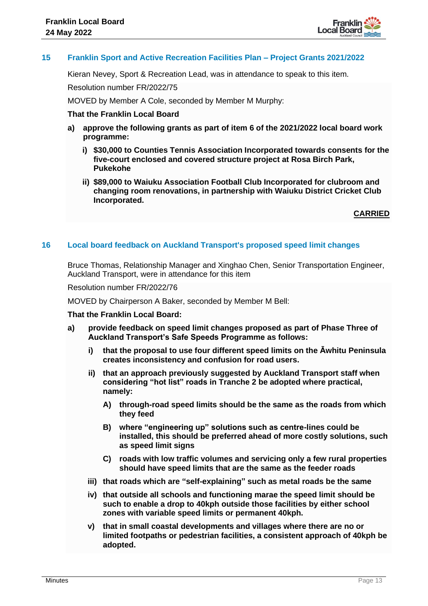

# **15 Franklin Sport and Active Recreation Facilities Plan – Project Grants 2021/2022**

Kieran Nevey, Sport & Recreation Lead, was in attendance to speak to this item.

Resolution number FR/2022/75

MOVED by Member A Cole, seconded by Member M Murphy:

#### **That the Franklin Local Board**

- **a) approve the following grants as part of item 6 of the 2021/2022 local board work programme:**
	- **i) \$30,000 to Counties Tennis Association Incorporated towards consents for the five-court enclosed and covered structure project at Rosa Birch Park, Pukekohe**
	- **ii) \$89,000 to Waiuku Association Football Club Incorporated for clubroom and changing room renovations, in partnership with Waiuku District Cricket Club Incorporated.**

**CARRIED**

#### **16 Local board feedback on Auckland Transport's proposed speed limit changes**

Bruce Thomas, Relationship Manager and Xinghao Chen, Senior Transportation Engineer, Auckland Transport, were in attendance for this item

Resolution number FR/2022/76

MOVED by Chairperson A Baker, seconded by Member M Bell:

#### **That the Franklin Local Board:**

- **a) provide feedback on speed limit changes proposed as part of Phase Three of Auckland Transport's Safe Speeds Programme as follows:**
	- **i) that the proposal to use four different speed limits on the Āwhitu Peninsula creates inconsistency and confusion for road users.**
	- **ii) that an approach previously suggested by Auckland Transport staff when considering "hot list" roads in Tranche 2 be adopted where practical, namely:**
		- **A) through-road speed limits should be the same as the roads from which they feed**
		- **B) where "engineering up" solutions such as centre-lines could be installed, this should be preferred ahead of more costly solutions, such as speed limit signs**
		- **C) roads with low traffic volumes and servicing only a few rural properties should have speed limits that are the same as the feeder roads**
	- **iii) that roads which are "self-explaining" such as metal roads be the same**
	- **iv) that outside all schools and functioning marae the speed limit should be such to enable a drop to 40kph outside those facilities by either school zones with variable speed limits or permanent 40kph.**
	- **v) that in small coastal developments and villages where there are no or limited footpaths or pedestrian facilities, a consistent approach of 40kph be adopted.**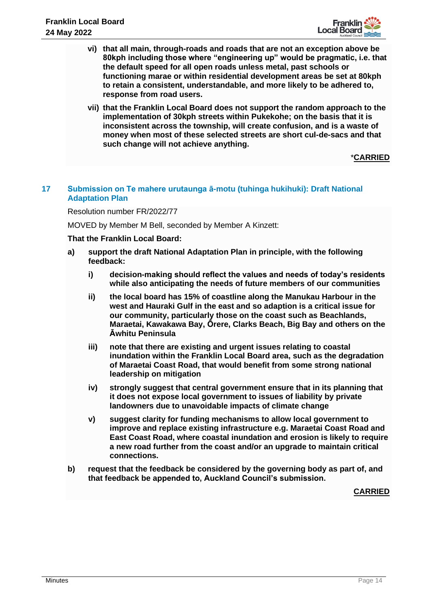

- **vi) that all main, through-roads and roads that are not an exception above be 80kph including those where "engineering up" would be pragmatic, i.e. that the default speed for all open roads unless metal, past schools or functioning marae or within residential development areas be set at 80kph to retain a consistent, understandable, and more likely to be adhered to, response from road users.**
- **vii) that the Franklin Local Board does not support the random approach to the implementation of 30kph streets within Pukekohe; on the basis that it is inconsistent across the township, will create confusion, and is a waste of money when most of these selected streets are short cul-de-sacs and that such change will not achieve anything.**

\***CARRIED**

# **17 Submission on Te mahere urutaunga ā-motu (tuhinga hukihuki): Draft National Adaptation Plan**

Resolution number FR/2022/77

MOVED by Member M Bell, seconded by Member A Kinzett:

#### **That the Franklin Local Board:**

- **a) support the draft National Adaptation Plan in principle, with the following feedback:**
	- **i) decision-making should reflect the values and needs of today's residents while also anticipating the needs of future members of our communities**
	- **ii) the local board has 15% of coastline along the Manukau Harbour in the west and Hauraki Gulf in the east and so adaption is a critical issue for our community, particularly those on the coast such as Beachlands, Maraetai, Kawakawa Bay, Ōrere, Clarks Beach, Big Bay and others on the Āwhitu Peninsula**
	- **iii) note that there are existing and urgent issues relating to coastal inundation within the Franklin Local Board area, such as the degradation of Maraetai Coast Road, that would benefit from some strong national leadership on mitigation**
	- **iv) strongly suggest that central government ensure that in its planning that it does not expose local government to issues of liability by private landowners due to unavoidable impacts of climate change**
	- **v) suggest clarity for funding mechanisms to allow local government to improve and replace existing infrastructure e.g. Maraetai Coast Road and East Coast Road, where coastal inundation and erosion is likely to require a new road further from the coast and/or an upgrade to maintain critical connections.**
- **b) request that the feedback be considered by the governing body as part of, and that feedback be appended to, Auckland Council's submission.**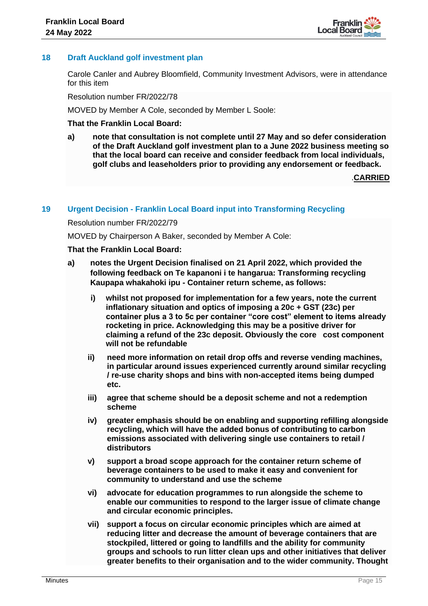

# **18 Draft Auckland golf investment plan**

Carole Canler and Aubrey Bloomfield, Community Investment Advisors, were in attendance for this item

Resolution number FR/2022/78

MOVED by Member A Cole, seconded by Member L Soole:

### **That the Franklin Local Board:**

**a) note that consultation is not complete until 27 May and so defer consideration of the Draft Auckland golf investment plan to a June 2022 business meeting so that the local board can receive and consider feedback from local individuals, golf clubs and leaseholders prior to providing any endorsement or feedback.**

.**CARRIED**

# **19 Urgent Decision - Franklin Local Board input into Transforming Recycling**

#### Resolution number FR/2022/79

MOVED by Chairperson A Baker, seconded by Member A Cole:

### **That the Franklin Local Board:**

- **a) notes the Urgent Decision finalised on 21 April 2022, which provided the following feedback on Te kapanoni i te hangarua: Transforming recycling Kaupapa whakahoki ipu - Container return scheme, as follows:**
	- **i) whilst not proposed for implementation for a few years, note the current inflationary situation and optics of imposing a 20c + GST (23c) per container plus a 3 to 5c per container "core cost" element to items already rocketing in price. Acknowledging this may be a positive driver for claiming a refund of the 23c deposit. Obviously the core cost component will not be refundable**
	- **ii) need more information on retail drop offs and reverse vending machines, in particular around issues experienced currently around similar recycling / re-use charity shops and bins with non-accepted items being dumped etc.**
	- **iii) agree that scheme should be a deposit scheme and not a redemption scheme**
	- **iv) greater emphasis should be on enabling and supporting refilling alongside recycling, which will have the added bonus of contributing to carbon emissions associated with delivering single use containers to retail / distributors**
	- **v) support a broad scope approach for the container return scheme of beverage containers to be used to make it easy and convenient for community to understand and use the scheme**
	- **vi) advocate for education programmes to run alongside the scheme to enable our communities to respond to the larger issue of climate change and circular economic principles.**
	- **vii) support a focus on circular economic principles which are aimed at reducing litter and decrease the amount of beverage containers that are stockpiled, littered or going to landfills and the ability for community groups and schools to run litter clean ups and other initiatives that deliver greater benefits to their organisation and to the wider community. Thought**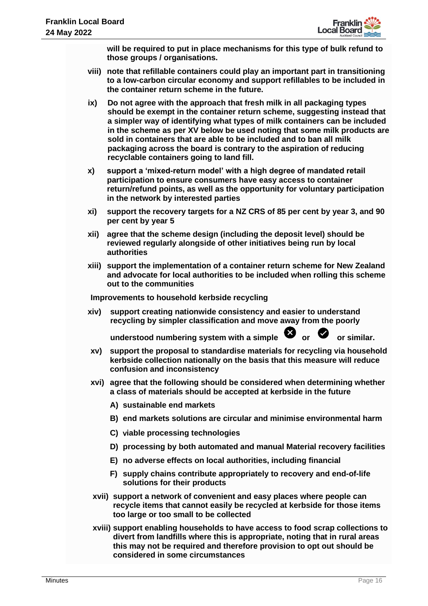

**will be required to put in place mechanisms for this type of bulk refund to those groups / organisations.**

- **viii) note that refillable containers could play an important part in transitioning to a low-carbon circular economy and support refillables to be included in the container return scheme in the future.**
- **ix) Do not agree with the approach that fresh milk in all packaging types should be exempt in the container return scheme, suggesting instead that a simpler way of identifying what types of milk containers can be included in the scheme as per XV below be used noting that some milk products are sold in containers that are able to be included and to ban all milk packaging across the board is contrary to the aspiration of reducing recyclable containers going to land fill.**
- **x) support a 'mixed-return model' with a high degree of mandated retail participation to ensure consumers have easy access to container return/refund points, as well as the opportunity for voluntary participation in the network by interested parties**
- **xi) support the recovery targets for a NZ CRS of 85 per cent by year 3, and 90 per cent by year 5**
- **xii) agree that the scheme design (including the deposit level) should be reviewed regularly alongside of other initiatives being run by local authorities**
- **xiii) support the implementation of a container return scheme for New Zealand and advocate for local authorities to be included when rolling this scheme out to the communities**

**Improvements to household kerbside recycling** 

**xiv) support creating nationwide consistency and easier to understand recycling by simpler classification and move away from the poorly** 

understood numbering system with a simple  $\bullet$  or  $\bullet$  or similar.

- **xv) support the proposal to standardise materials for recycling via household kerbside collection nationally on the basis that this measure will reduce confusion and inconsistency**
- **xvi) agree that the following should be considered when determining whether a class of materials should be accepted at kerbside in the future**
	- **A) sustainable end markets**
	- **B) end markets solutions are circular and minimise environmental harm**
	- **C)** v**iable processing technologies**
	- **D) processing by both automated and manual Material recovery facilities**
	- **E) no adverse effects on local authorities, including financial**
	- **F) supply chains contribute appropriately to recovery and end-of-life solutions for their products**
- **xvii) support a network of convenient and easy places where people can recycle items that cannot easily be recycled at kerbside for those items too large or too small to be collected**
- **xviii) support enabling households to have access to food scrap collections to divert from landfills where this is appropriate, noting that in rural areas this may not be required and therefore provision to opt out should be considered in some circumstances**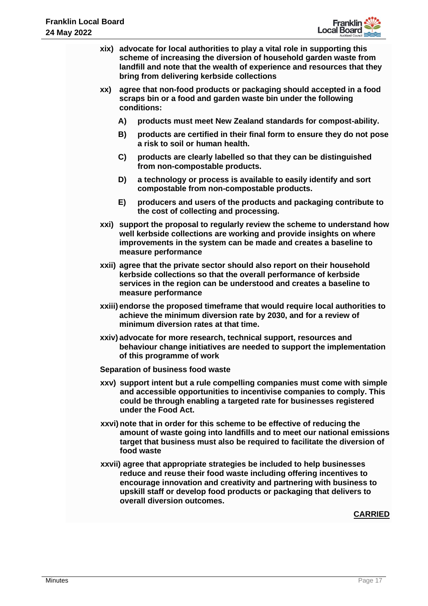

- **xix) advocate for local authorities to play a vital role in supporting this scheme of increasing the diversion of household garden waste from landfill and note that the wealth of experience and resources that they bring from delivering kerbside collections**
- **xx) agree that non-food products or packaging should accepted in a food scraps bin or a food and garden waste bin under the following conditions:**
	- **A) products must meet New Zealand standards for compost-ability.**
	- **B) products are certified in their final form to ensure they do not pose a risk to soil or human health.**
	- **C) products are clearly labelled so that they can be distinguished from non-compostable products.**
	- **D) a technology or process is available to easily identify and sort compostable from non-compostable products.**
	- **E) producers and users of the products and packaging contribute to the cost of collecting and processing.**
- **xxi) support the proposal to regularly review the scheme to understand how well kerbside collections are working and provide insights on where improvements in the system can be made and creates a baseline to measure performance**
- **xxii) agree that the private sector should also report on their household kerbside collections so that the overall performance of kerbside services in the region can be understood and creates a baseline to measure performance**
- **xxiii) endorse the proposed timeframe that would require local authorities to achieve the minimum diversion rate by 2030, and for a review of minimum diversion rates at that time.**
- **xxiv) advocate for more research, technical support, resources and behaviour change initiatives are needed to support the implementation of this programme of work**

#### **Separation of business food waste**

- **xxv) support intent but a rule compelling companies must come with simple and accessible opportunities to incentivise companies to comply. This could be through enabling a targeted rate for businesses registered under the Food Act.**
- **xxvi) note that in order for this scheme to be effective of reducing the amount of waste going into landfills and to meet our national emissions target that business must also be required to facilitate the diversion of food waste**
- **xxvii) agree that appropriate strategies be included to help businesses reduce and reuse their food waste including offering incentives to encourage innovation and creativity and partnering with business to upskill staff or develop food products or packaging that delivers to overall diversion outcomes.**